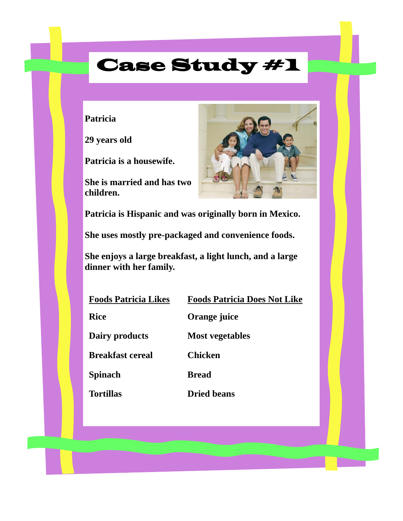### **Patricia**

**29 years old** 

**Patricia is a housewife.** 

**She is married and has two children.** 



**Patricia is Hispanic and was originally born in Mexico.** 

**She uses mostly pre-packaged and convenience foods.** 

**She enjoys a large breakfast, a light lunch, and a large dinner with her family.** 

| <b>Foods Patricia Likes</b> | <b>Foods Patricia Does Not Like</b> |
|-----------------------------|-------------------------------------|
| <b>Rice</b>                 | Orange juice                        |
| Dairy products              | <b>Most vegetables</b>              |
| <b>Breakfast cereal</b>     | <b>Chicken</b>                      |
| <b>Spinach</b>              | <b>Bread</b>                        |
| <b>Tortillas</b>            | <b>Dried beans</b>                  |
|                             |                                     |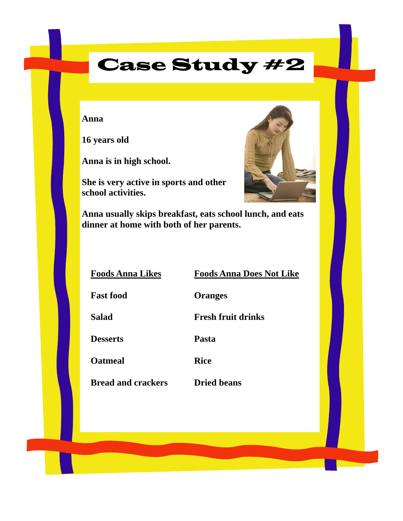#### **Anna**

**16 years old** 

**Anna is in high school.** 

**She is very active in sports and other school activities.** 



**Anna usually skips breakfast, eats school lunch, and eats dinner at home with both of her parents.**

**Foods Anna Likes Foods Anna Does Not Like**

**Fast food Oranges** 

**Salad Fresh fruit drinks** 

**Desserts Pasta** 

**Oatmeal Rice** 

**Bread and crackers Dried beans**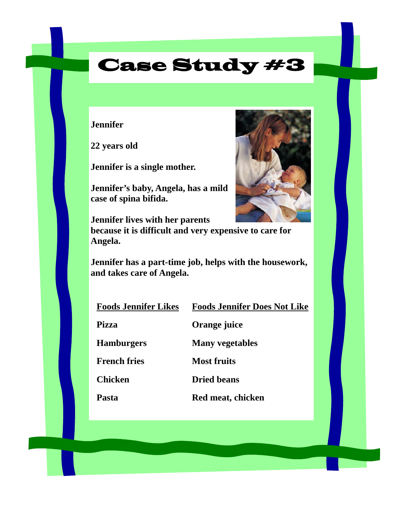**Jennifer** 

**22 years old** 

**Jennifer is a single mother.** 

**Jennifer's baby, Angela, has a mild case of spina bifida.** 



**Jennifer lives with her parents because it is difficult and very expensive to care for Angela.** 

**Jennifer has a part-time job, helps with the housework, and takes care of Angela.** 

| <b>Foods Jennifer Likes</b> | <b>Foods Jennifer Does Not Like</b> |
|-----------------------------|-------------------------------------|
| --                          |                                     |

**Pizza Orange juice** 

**Hamburgers Many vegetables** 

**French fries Most fruits** 

**Chicken Dried beans** 

Pasta Red meat, chicken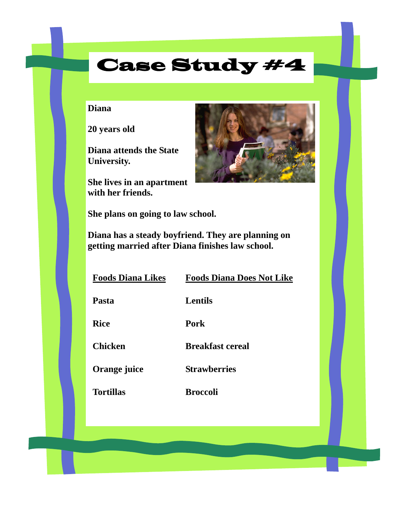### **Diana**

**20 years old** 

**Diana attends the State University.** 

**She lives in an apartment with her friends.** 



**She plans on going to law school.** 

**Diana has a steady boyfriend. They are planning on getting married after Diana finishes law school.** 

| <b>Foods Diana Likes</b> | <b>Foods Diana Does Not Like</b> |
|--------------------------|----------------------------------|
| <b>Pasta</b>             | <b>Lentils</b>                   |
| <b>Rice</b>              | Pork                             |
| <b>Chicken</b>           | <b>Breakfast cereal</b>          |
| Orange juice             | <b>Strawberries</b>              |
| <b>Tortillas</b>         | <b>Broccoli</b>                  |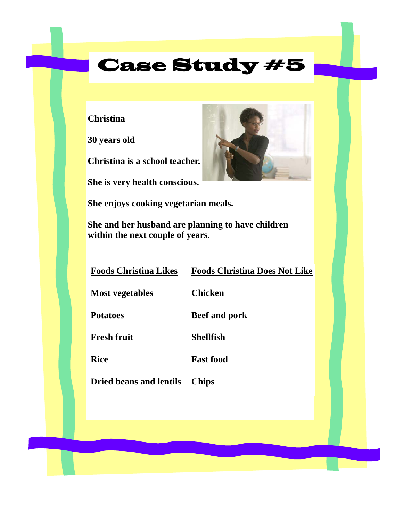**Christina** 

**30 years old** 

**Christina is a school teacher.** 

**She is very health conscious.** 

**She enjoys cooking vegetarian meals.** 

**She and her husband are planning to have children within the next couple of years.** 

| <b>Foods Christina Likes</b><br><b>Foods Christina Does Not Like</b> |  |
|----------------------------------------------------------------------|--|
|                                                                      |  |

**Most vegetables Chicken** 

**Potatoes Beef and pork** 

**Fresh fruit Shellfish** 

**Rice Fast food** 

**Dried beans and lentils Chips** 

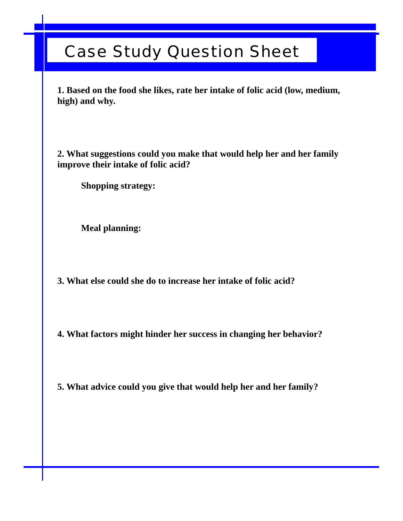### Case Study Question Sheet

**1. Based on the food she likes, rate her intake of folic acid (low, medium, high) and why.** 

**2. What suggestions could you make that would help her and her family improve their intake of folic acid?** 

 **Shopping strategy:** 

 **Meal planning:** 

**3. What else could she do to increase her intake of folic acid?** 

**4. What factors might hinder her success in changing her behavior?** 

**5. What advice could you give that would help her and her family?**